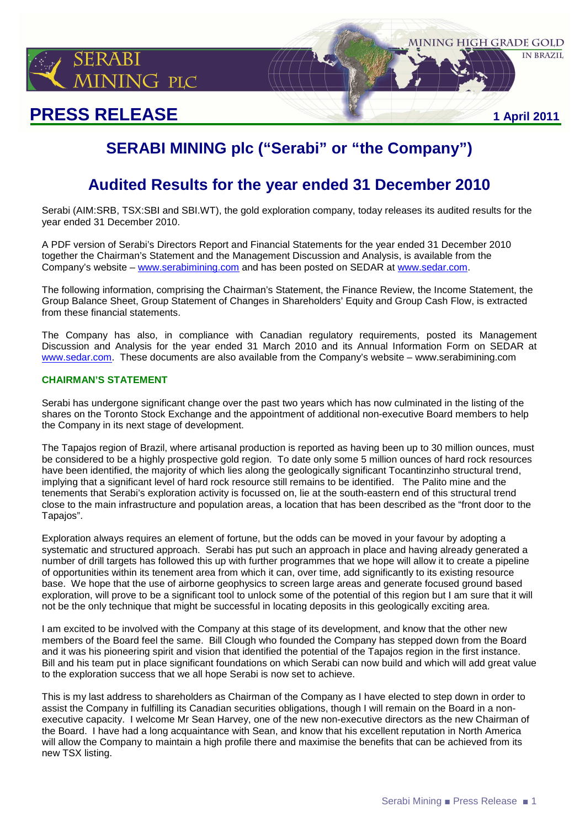

# **PRESS RELEASE 1 April 2011**

# **SERABI MINING plc ("Serabi" or "the Company")**

# **Audited Results for the year ended 31 December 2010**

Serabi (AIM:SRB, TSX:SBI and SBI.WT), the gold exploration company, today releases its audited results for the year ended 31 December 2010.

A PDF version of Serabi's Directors Report and Financial Statements for the year ended 31 December 2010 together the Chairman's Statement and the Management Discussion and Analysis, is available from the Company's website – www.serabimining.com and has been posted on SEDAR at www.sedar.com.

The following information, comprising the Chairman's Statement, the Finance Review, the Income Statement, the Group Balance Sheet, Group Statement of Changes in Shareholders' Equity and Group Cash Flow, is extracted from these financial statements.

The Company has also, in compliance with Canadian regulatory requirements, posted its Management Discussion and Analysis for the year ended 31 March 2010 and its Annual Information Form on SEDAR at www.sedar.com. These documents are also available from the Company's website – www.serabimining.com

### **CHAIRMAN'S STATEMENT**

Serabi has undergone significant change over the past two years which has now culminated in the listing of the shares on the Toronto Stock Exchange and the appointment of additional non-executive Board members to help the Company in its next stage of development.

The Tapajos region of Brazil, where artisanal production is reported as having been up to 30 million ounces, must be considered to be a highly prospective gold region. To date only some 5 million ounces of hard rock resources have been identified, the majority of which lies along the geologically significant Tocantinzinho structural trend, implying that a significant level of hard rock resource still remains to be identified. The Palito mine and the tenements that Serabi's exploration activity is focussed on, lie at the south-eastern end of this structural trend close to the main infrastructure and population areas, a location that has been described as the "front door to the Tapajos".

Exploration always requires an element of fortune, but the odds can be moved in your favour by adopting a systematic and structured approach. Serabi has put such an approach in place and having already generated a number of drill targets has followed this up with further programmes that we hope will allow it to create a pipeline of opportunities within its tenement area from which it can, over time, add significantly to its existing resource base. We hope that the use of airborne geophysics to screen large areas and generate focused ground based exploration, will prove to be a significant tool to unlock some of the potential of this region but I am sure that it will not be the only technique that might be successful in locating deposits in this geologically exciting area.

I am excited to be involved with the Company at this stage of its development, and know that the other new members of the Board feel the same. Bill Clough who founded the Company has stepped down from the Board and it was his pioneering spirit and vision that identified the potential of the Tapajos region in the first instance. Bill and his team put in place significant foundations on which Serabi can now build and which will add great value to the exploration success that we all hope Serabi is now set to achieve.

This is my last address to shareholders as Chairman of the Company as I have elected to step down in order to assist the Company in fulfilling its Canadian securities obligations, though I will remain on the Board in a nonexecutive capacity. I welcome Mr Sean Harvey, one of the new non-executive directors as the new Chairman of the Board. I have had a long acquaintance with Sean, and know that his excellent reputation in North America will allow the Company to maintain a high profile there and maximise the benefits that can be achieved from its new TSX listing.

MINING HIGH GRADE GOLD

**IN BRAZIL**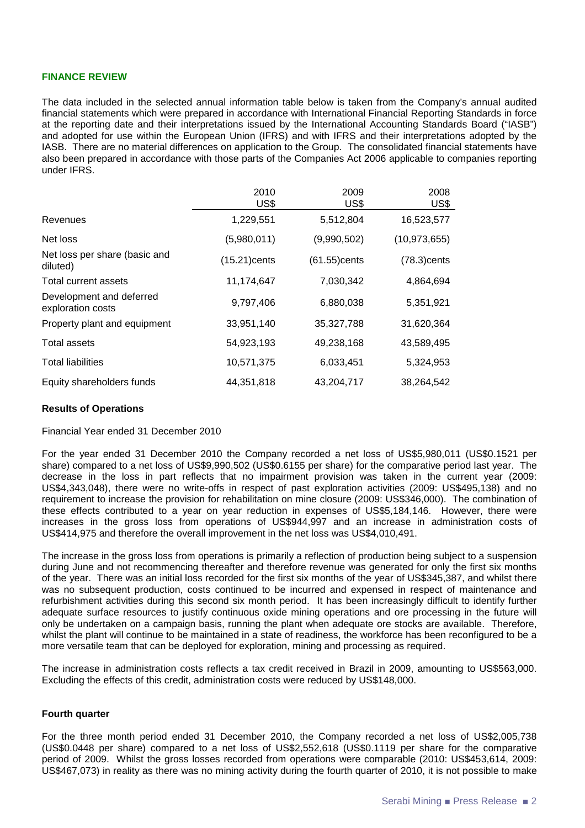#### **FINANCE REVIEW**

The data included in the selected annual information table below is taken from the Company's annual audited financial statements which were prepared in accordance with International Financial Reporting Standards in force at the reporting date and their interpretations issued by the International Accounting Standards Board ("IASB") and adopted for use within the European Union (IFRS) and with IFRS and their interpretations adopted by the IASB. There are no material differences on application to the Group. The consolidated financial statements have also been prepared in accordance with those parts of the Companies Act 2006 applicable to companies reporting under IFRS.

|                                               | 2010<br>US\$    | 2009<br>US\$ | 2008<br>US\$   |
|-----------------------------------------------|-----------------|--------------|----------------|
| Revenues                                      | 1,229,551       | 5,512,804    | 16,523,577     |
| Net loss                                      | (5,980,011)     | (9,990,502)  | (10, 973, 655) |
| Net loss per share (basic and<br>diluted)     | $(15.21)$ cents | (61.55)cents | $(78.3)$ cents |
| Total current assets                          | 11,174,647      | 7,030,342    | 4,864,694      |
| Development and deferred<br>exploration costs | 9,797,406       | 6,880,038    | 5,351,921      |
| Property plant and equipment                  | 33,951,140      | 35,327,788   | 31,620,364     |
| Total assets                                  | 54,923,193      | 49,238,168   | 43,589,495     |
| <b>Total liabilities</b>                      | 10,571,375      | 6,033,451    | 5,324,953      |
| Equity shareholders funds                     | 44,351,818      | 43,204,717   | 38,264,542     |

#### **Results of Operations**

Financial Year ended 31 December 2010

For the year ended 31 December 2010 the Company recorded a net loss of US\$5,980,011 (US\$0.1521 per share) compared to a net loss of US\$9,990,502 (US\$0.6155 per share) for the comparative period last year. The decrease in the loss in part reflects that no impairment provision was taken in the current year (2009: US\$4,343,048), there were no write-offs in respect of past exploration activities (2009: US\$495,138) and no requirement to increase the provision for rehabilitation on mine closure (2009: US\$346,000). The combination of these effects contributed to a year on year reduction in expenses of US\$5,184,146. However, there were increases in the gross loss from operations of US\$944,997 and an increase in administration costs of US\$414,975 and therefore the overall improvement in the net loss was US\$4,010,491.

The increase in the gross loss from operations is primarily a reflection of production being subject to a suspension during June and not recommencing thereafter and therefore revenue was generated for only the first six months of the year. There was an initial loss recorded for the first six months of the year of US\$345,387, and whilst there was no subsequent production, costs continued to be incurred and expensed in respect of maintenance and refurbishment activities during this second six month period. It has been increasingly difficult to identify further adequate surface resources to justify continuous oxide mining operations and ore processing in the future will only be undertaken on a campaign basis, running the plant when adequate ore stocks are available. Therefore, whilst the plant will continue to be maintained in a state of readiness, the workforce has been reconfigured to be a more versatile team that can be deployed for exploration, mining and processing as required.

The increase in administration costs reflects a tax credit received in Brazil in 2009, amounting to US\$563,000. Excluding the effects of this credit, administration costs were reduced by US\$148,000.

#### **Fourth quarter**

For the three month period ended 31 December 2010, the Company recorded a net loss of US\$2,005,738 (US\$0.0448 per share) compared to a net loss of US\$2,552,618 (US\$0.1119 per share for the comparative period of 2009. Whilst the gross losses recorded from operations were comparable (2010: US\$453,614, 2009: US\$467,073) in reality as there was no mining activity during the fourth quarter of 2010, it is not possible to make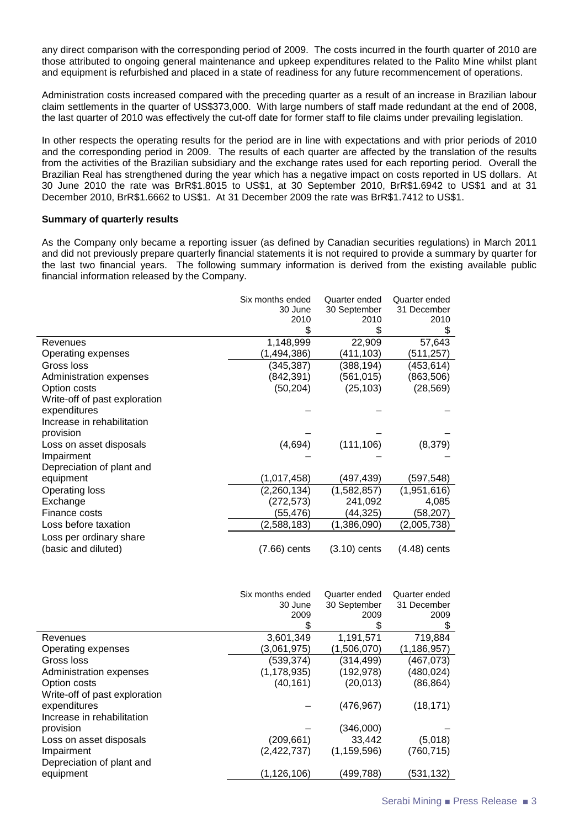any direct comparison with the corresponding period of 2009. The costs incurred in the fourth quarter of 2010 are those attributed to ongoing general maintenance and upkeep expenditures related to the Palito Mine whilst plant and equipment is refurbished and placed in a state of readiness for any future recommencement of operations.

Administration costs increased compared with the preceding quarter as a result of an increase in Brazilian labour claim settlements in the quarter of US\$373,000. With large numbers of staff made redundant at the end of 2008, the last quarter of 2010 was effectively the cut-off date for former staff to file claims under prevailing legislation.

In other respects the operating results for the period are in line with expectations and with prior periods of 2010 and the corresponding period in 2009. The results of each quarter are affected by the translation of the results from the activities of the Brazilian subsidiary and the exchange rates used for each reporting period. Overall the Brazilian Real has strengthened during the year which has a negative impact on costs reported in US dollars. At 30 June 2010 the rate was BrR\$1.8015 to US\$1, at 30 September 2010, BrR\$1.6942 to US\$1 and at 31 December 2010, BrR\$1.6662 to US\$1. At 31 December 2009 the rate was BrR\$1.7412 to US\$1.

#### **Summary of quarterly results**

As the Company only became a reporting issuer (as defined by Canadian securities regulations) in March 2011 and did not previously prepare quarterly financial statements it is not required to provide a summary by quarter for the last two financial years. The following summary information is derived from the existing available public financial information released by the Company.

|                                                | Six months ended<br>30 June<br>2010<br>\$ | Quarter ended<br>30 September<br>2010 | Quarter ended<br>31 December<br>2010<br>\$ |
|------------------------------------------------|-------------------------------------------|---------------------------------------|--------------------------------------------|
| Revenues                                       | 1,148,999                                 | 22,909                                | 57,643                                     |
| Operating expenses                             | (1,494,386)                               | (411, 103)                            | (511,257)                                  |
| Gross loss                                     | (345,387)                                 | (388, 194)                            | (453,614)                                  |
| Administration expenses                        | (842,391)                                 | (561,015)                             | (863,506)                                  |
| Option costs                                   | (50, 204)                                 | (25, 103)                             | (28,569)                                   |
| Write-off of past exploration                  |                                           |                                       |                                            |
| expenditures                                   |                                           |                                       |                                            |
| Increase in rehabilitation                     |                                           |                                       |                                            |
| provision                                      |                                           |                                       |                                            |
| Loss on asset disposals                        | (4,694)                                   | (111, 106)                            | (8,379)                                    |
| Impairment                                     |                                           |                                       |                                            |
| Depreciation of plant and                      |                                           |                                       |                                            |
| equipment                                      | (1,017,458)                               | (497,439)                             | (597,548)                                  |
| Operating loss                                 | (2, 260, 134)                             | (1,582,857)                           | (1,951,616)                                |
| Exchange                                       | (272,573)                                 | 241,092                               | 4,085                                      |
| Finance costs                                  | (55,476)                                  | (44, 325)                             | (58, 207)                                  |
| Loss before taxation                           | (2,588,183)                               | (1,386,090)                           | (2,005,738)                                |
| Loss per ordinary share<br>(basic and diluted) | (7.66) cents                              | $(3.10)$ cents                        | $(4.48)$ cents                             |
|                                                |                                           |                                       |                                            |

|                               | Six months ended<br>30 June<br>2009<br>S | Quarter ended<br>30 September<br>2009<br>\$ | Quarter ended<br>31 December<br>2009<br>S |
|-------------------------------|------------------------------------------|---------------------------------------------|-------------------------------------------|
| Revenues                      | 3,601,349                                | 1,191,571                                   | 719,884                                   |
| Operating expenses            | (3,061,975)                              | (1,506,070)                                 | (1, 186, 957)                             |
| Gross loss                    | (539,374)                                | (314, 499)                                  | (467, 073)                                |
| Administration expenses       | (1, 178, 935)                            | (192, 978)                                  | (480, 024)                                |
| Option costs                  | (40, 161)                                | (20, 013)                                   | (86,864)                                  |
| Write-off of past exploration |                                          |                                             |                                           |
| expenditures                  |                                          | (476, 967)                                  | (18, 171)                                 |
| Increase in rehabilitation    |                                          |                                             |                                           |
| provision                     |                                          | (346,000)                                   |                                           |
| Loss on asset disposals       | (209,661)                                | 33.442                                      | (5,018)                                   |
| Impairment                    | (2, 422, 737)                            | (1, 159, 596)                               | (760,715)                                 |
| Depreciation of plant and     |                                          |                                             |                                           |
| equipment                     | (1,126,106)                              | (499, 788)                                  | (531,132)                                 |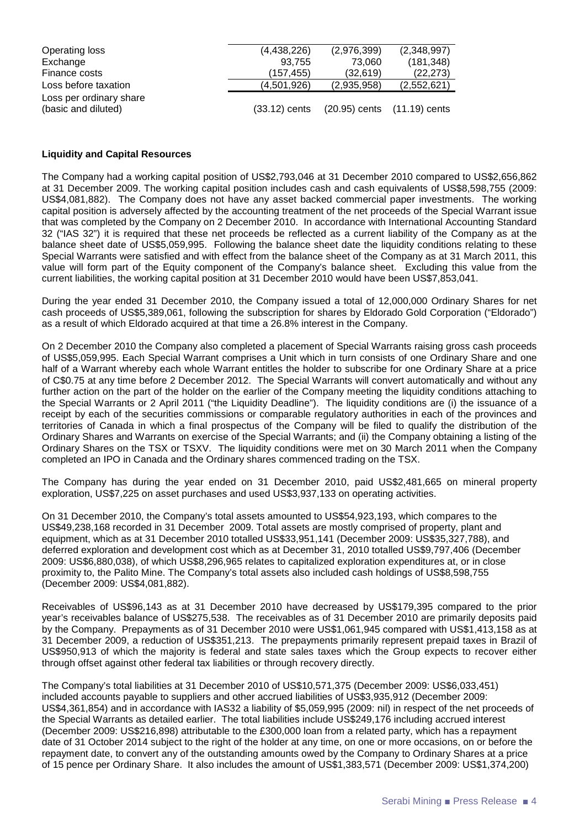| Operating loss                                 | (4,438,226)     | (2,976,399)                 | (2,348,997) |
|------------------------------------------------|-----------------|-----------------------------|-------------|
| Exchange                                       | 93.755          | 73.060                      | (181, 348)  |
| Finance costs                                  | (157,455)       | (32,619)                    | (22, 273)   |
| Loss before taxation                           | (4,501,926)     | (2,935,958)                 | (2,552,621) |
| Loss per ordinary share<br>(basic and diluted) | $(33.12)$ cents | (20.95) cents (11.19) cents |             |

#### **Liquidity and Capital Resources**

The Company had a working capital position of US\$2,793,046 at 31 December 2010 compared to US\$2,656,862 at 31 December 2009. The working capital position includes cash and cash equivalents of US\$8,598,755 (2009: US\$4,081,882). The Company does not have any asset backed commercial paper investments. The working capital position is adversely affected by the accounting treatment of the net proceeds of the Special Warrant issue that was completed by the Company on 2 December 2010. In accordance with International Accounting Standard 32 ("IAS 32") it is required that these net proceeds be reflected as a current liability of the Company as at the balance sheet date of US\$5,059,995. Following the balance sheet date the liquidity conditions relating to these Special Warrants were satisfied and with effect from the balance sheet of the Company as at 31 March 2011, this value will form part of the Equity component of the Company's balance sheet. Excluding this value from the current liabilities, the working capital position at 31 December 2010 would have been US\$7,853,041.

During the year ended 31 December 2010, the Company issued a total of 12,000,000 Ordinary Shares for net cash proceeds of US\$5,389,061, following the subscription for shares by Eldorado Gold Corporation ("Eldorado") as a result of which Eldorado acquired at that time a 26.8% interest in the Company.

On 2 December 2010 the Company also completed a placement of Special Warrants raising gross cash proceeds of US\$5,059,995. Each Special Warrant comprises a Unit which in turn consists of one Ordinary Share and one half of a Warrant whereby each whole Warrant entitles the holder to subscribe for one Ordinary Share at a price of C\$0.75 at any time before 2 December 2012. The Special Warrants will convert automatically and without any further action on the part of the holder on the earlier of the Company meeting the liquidity conditions attaching to the Special Warrants or 2 April 2011 ("the Liquidity Deadline"). The liquidity conditions are (i) the issuance of a receipt by each of the securities commissions or comparable regulatory authorities in each of the provinces and territories of Canada in which a final prospectus of the Company will be filed to qualify the distribution of the Ordinary Shares and Warrants on exercise of the Special Warrants; and (ii) the Company obtaining a listing of the Ordinary Shares on the TSX or TSXV. The liquidity conditions were met on 30 March 2011 when the Company completed an IPO in Canada and the Ordinary shares commenced trading on the TSX.

The Company has during the year ended on 31 December 2010, paid US\$2,481,665 on mineral property exploration, US\$7,225 on asset purchases and used US\$3,937,133 on operating activities.

On 31 December 2010, the Company's total assets amounted to US\$54,923,193, which compares to the US\$49,238,168 recorded in 31 December 2009. Total assets are mostly comprised of property, plant and equipment, which as at 31 December 2010 totalled US\$33,951,141 (December 2009: US\$35,327,788), and deferred exploration and development cost which as at December 31, 2010 totalled US\$9,797,406 (December 2009: US\$6,880,038), of which US\$8,296,965 relates to capitalized exploration expenditures at, or in close proximity to, the Palito Mine. The Company's total assets also included cash holdings of US\$8,598,755 (December 2009: US\$4,081,882).

Receivables of US\$96,143 as at 31 December 2010 have decreased by US\$179,395 compared to the prior year's receivables balance of US\$275,538. The receivables as of 31 December 2010 are primarily deposits paid by the Company. Prepayments as of 31 December 2010 were US\$1,061,945 compared with US\$1,413,158 as at 31 December 2009, a reduction of US\$351,213. The prepayments primarily represent prepaid taxes in Brazil of US\$950,913 of which the majority is federal and state sales taxes which the Group expects to recover either through offset against other federal tax liabilities or through recovery directly.

The Company's total liabilities at 31 December 2010 of US\$10,571,375 (December 2009: US\$6,033,451) included accounts payable to suppliers and other accrued liabilities of US\$3,935,912 (December 2009: US\$4,361,854) and in accordance with IAS32 a liability of \$5,059,995 (2009: nil) in respect of the net proceeds of the Special Warrants as detailed earlier. The total liabilities include US\$249,176 including accrued interest (December 2009: US\$216,898) attributable to the £300,000 loan from a related party, which has a repayment date of 31 October 2014 subject to the right of the holder at any time, on one or more occasions, on or before the repayment date, to convert any of the outstanding amounts owed by the Company to Ordinary Shares at a price of 15 pence per Ordinary Share. It also includes the amount of US\$1,383,571 (December 2009: US\$1,374,200)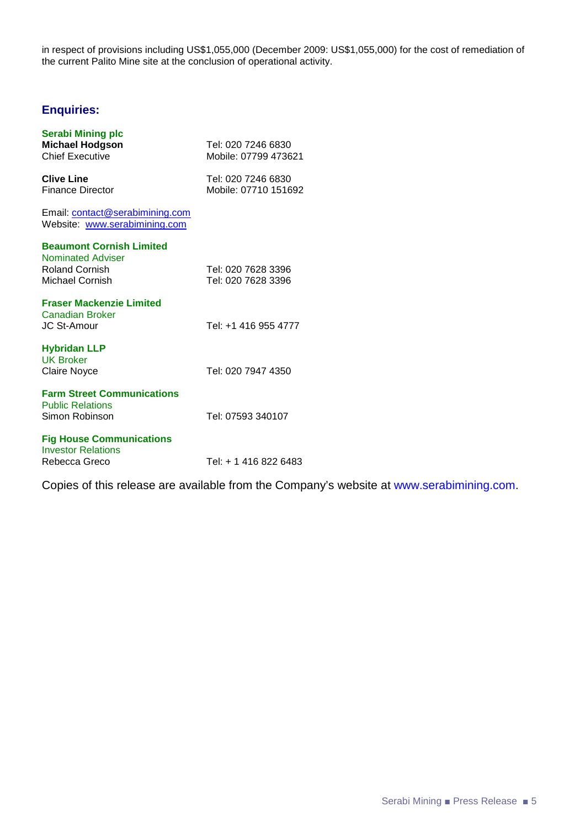in respect of provisions including US\$1,055,000 (December 2009: US\$1,055,000) for the cost of remediation of the current Palito Mine site at the conclusion of operational activity.

# **Enquiries:**

| <b>Serabi Mining plc</b><br><b>Michael Hodgson</b><br><b>Chief Executive</b>                            | Tel: 020 7246 6830<br>Mobile: 07799 473621 |
|---------------------------------------------------------------------------------------------------------|--------------------------------------------|
| <b>Clive Line</b><br><b>Finance Director</b>                                                            | Tel: 020 7246 6830<br>Mobile: 07710 151692 |
| Email: contact@serabimining.com<br>Website: www.serabimining.com                                        |                                            |
| <b>Beaumont Cornish Limited</b><br><b>Nominated Adviser</b><br><b>Roland Cornish</b><br>Michael Cornish | Tel: 020 7628 3396<br>Tel: 020 7628 3396   |
| <b>Fraser Mackenzie Limited</b><br><b>Canadian Broker</b><br>JC St-Amour                                | Tel: +1 416 955 4777                       |
| <b>Hybridan LLP</b><br><b>UK Broker</b><br><b>Claire Noyce</b>                                          | Tel: 020 7947 4350                         |
| <b>Farm Street Communications</b><br><b>Public Relations</b><br>Simon Robinson                          | Tel: 07593 340107                          |
| <b>Fig House Communications</b><br><b>Investor Relations</b><br>Rebecca Greco                           | Tel: + 1 416 822 6483                      |

Copies of this release are available from the Company's website at www.serabimining.com.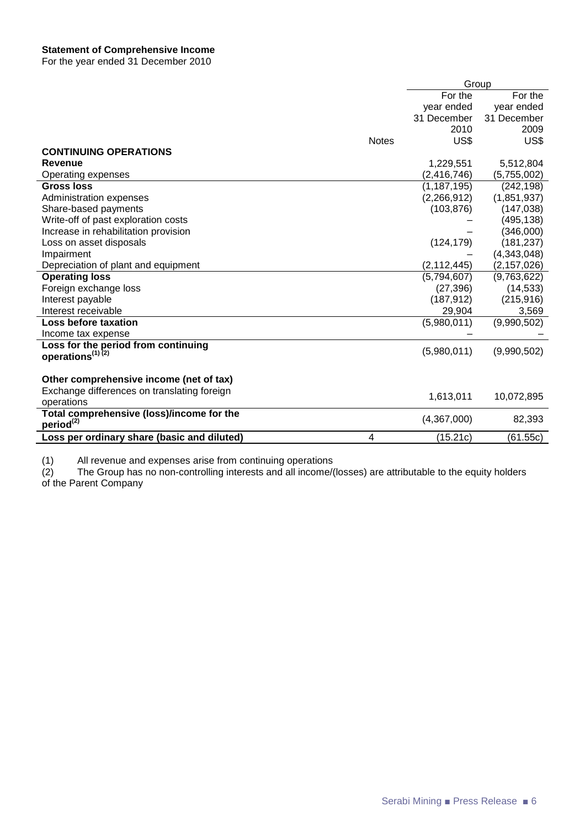For the year ended 31 December 2010

|                                             |              | Group         |               |
|---------------------------------------------|--------------|---------------|---------------|
|                                             |              | For the       | For the       |
|                                             |              | year ended    | year ended    |
|                                             |              | 31 December   | 31 December   |
|                                             |              | 2010          | 2009          |
|                                             | <b>Notes</b> | US\$          | US\$          |
| <b>CONTINUING OPERATIONS</b>                |              |               |               |
| <b>Revenue</b>                              |              | 1,229,551     | 5,512,804     |
| Operating expenses                          |              | (2, 416, 746) | (5,755,002)   |
| <b>Gross loss</b>                           |              | (1, 187, 195) | (242, 198)    |
| Administration expenses                     |              | (2,266,912)   | (1,851,937)   |
| Share-based payments                        |              | (103, 876)    | (147, 038)    |
| Write-off of past exploration costs         |              |               | (495, 138)    |
| Increase in rehabilitation provision        |              |               | (346,000)     |
| Loss on asset disposals                     |              | (124, 179)    | (181, 237)    |
| Impairment                                  |              |               | (4,343,048)   |
| Depreciation of plant and equipment         |              | (2, 112, 445) | (2, 157, 026) |
| <b>Operating loss</b>                       |              | (5,794,607)   | (9,763,622)   |
| Foreign exchange loss                       |              | (27, 396)     | (14, 533)     |
| Interest payable                            |              | (187, 912)    | (215, 916)    |
| Interest receivable                         |              | 29,904        | 3,569         |
| <b>Loss before taxation</b>                 |              | (5,980,011)   | (9,990,502)   |
| Income tax expense                          |              |               |               |
| Loss for the period from continuing         |              |               |               |
| operations <sup>(1)(2)</sup>                |              | (5,980,011)   | (9,990,502)   |
|                                             |              |               |               |
| Other comprehensive income (net of tax)     |              |               |               |
| Exchange differences on translating foreign |              |               |               |
| operations                                  |              | 1,613,011     | 10,072,895    |
| Total comprehensive (loss)/income for the   |              |               |               |
| period <sup>(2)</sup>                       |              | (4,367,000)   | 82,393        |
| Loss per ordinary share (basic and diluted) | 4            | (15.21c)      | (61.55c)      |

(1) All revenue and expenses arise from continuing operations

(2) The Group has no non-controlling interests and all income/(losses) are attributable to the equity holders (1) All revenue and<br>
(2) The Group has<br>
of the Parent Company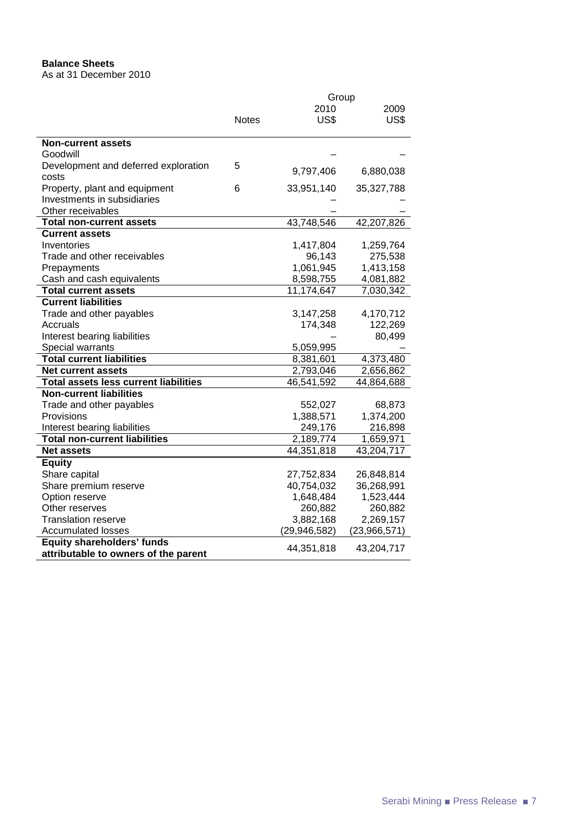## **Balance Sheets**

As at 31 December 2010

|                                              | Group        |                |              |  |
|----------------------------------------------|--------------|----------------|--------------|--|
|                                              |              | 2010           | 2009         |  |
|                                              | <b>Notes</b> | US\$           | US\$         |  |
|                                              |              |                |              |  |
| <b>Non-current assets</b>                    |              |                |              |  |
| Goodwill                                     |              |                |              |  |
| Development and deferred exploration         | 5            | 9,797,406      | 6,880,038    |  |
| costs                                        |              |                |              |  |
| Property, plant and equipment                | 6            | 33,951,140     | 35,327,788   |  |
| Investments in subsidiaries                  |              |                |              |  |
| Other receivables                            |              |                |              |  |
| <b>Total non-current assets</b>              |              | 43,748,546     | 42,207,826   |  |
| <b>Current assets</b>                        |              |                |              |  |
| Inventories                                  |              | 1,417,804      | 1,259,764    |  |
| Trade and other receivables                  |              | 96,143         | 275,538      |  |
| Prepayments                                  |              | 1,061,945      | 1,413,158    |  |
| Cash and cash equivalents                    |              | 8,598,755      | 4,081,882    |  |
| <b>Total current assets</b>                  |              | 11,174,647     | 7,030,342    |  |
| <b>Current liabilities</b>                   |              |                |              |  |
| Trade and other payables                     |              | 3,147,258      | 4,170,712    |  |
| Accruals                                     |              | 174,348        | 122,269      |  |
| Interest bearing liabilities                 |              |                | 80,499       |  |
| Special warrants                             |              | 5,059,995      |              |  |
| <b>Total current liabilities</b>             |              | 8,381,601      | 4,373,480    |  |
| <b>Net current assets</b>                    |              | 2,793,046      | 2,656,862    |  |
| <b>Total assets less current liabilities</b> |              | 46,541,592     | 44,864,688   |  |
| <b>Non-current liabilities</b>               |              |                |              |  |
| Trade and other payables                     |              | 552,027        | 68,873       |  |
| Provisions                                   |              | 1,388,571      | 1,374,200    |  |
| Interest bearing liabilities                 |              | 249,176        | 216,898      |  |
| <b>Total non-current liabilities</b>         |              | 2,189,774      | 1,659,971    |  |
| <b>Net assets</b>                            |              | 44,351,818     | 43,204,717   |  |
| <b>Equity</b>                                |              |                |              |  |
| Share capital                                |              | 27,752,834     | 26,848,814   |  |
| Share premium reserve                        |              | 40,754,032     | 36,268,991   |  |
| Option reserve                               |              | 1,648,484      | 1,523,444    |  |
| Other reserves                               |              | 260,882        | 260,882      |  |
| <b>Translation reserve</b>                   |              | 3,882,168      | 2,269,157    |  |
| <b>Accumulated losses</b>                    |              | (29, 946, 582) | (23,966,571) |  |
| <b>Equity shareholders' funds</b>            |              |                |              |  |
| attributable to owners of the parent         |              | 44,351,818     | 43,204,717   |  |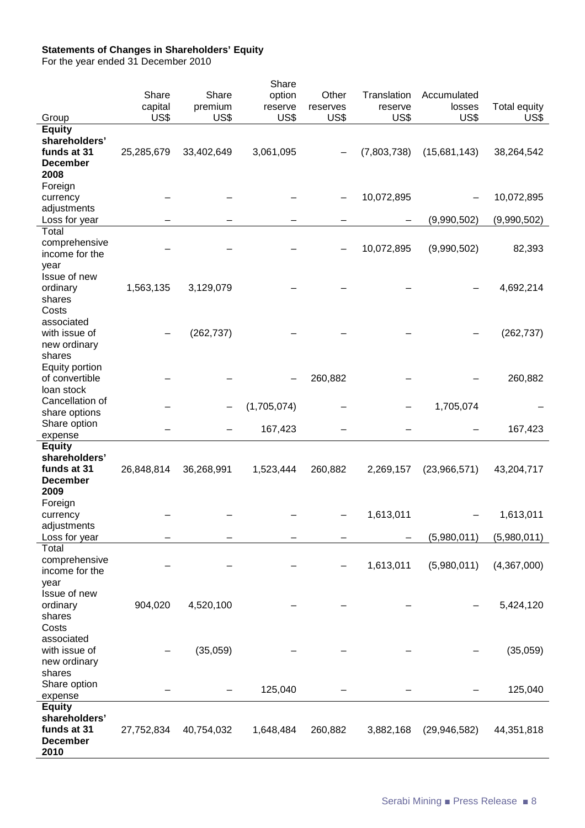### **Statements of Changes in Shareholders' Equity**

For the year ended 31 December 2010

| Group<br><b>Equity</b>                                                   | Share<br>capital<br>US\$ | Share<br>premium<br>US\$ | Share<br>option<br>reserve<br>US\$ | Other<br>reserves<br>US\$    | Translation<br>reserve<br>US\$ | Accumulated<br>losses<br>US\$ | Total equity<br>US\$ |
|--------------------------------------------------------------------------|--------------------------|--------------------------|------------------------------------|------------------------------|--------------------------------|-------------------------------|----------------------|
| shareholders'<br>funds at 31<br><b>December</b><br>2008                  | 25,285,679               | 33,402,649               | 3,061,095                          |                              | (7,803,738)                    | (15,681,143)                  | 38,264,542           |
| Foreign<br>currency<br>adjustments                                       |                          |                          |                                    |                              | 10,072,895                     |                               | 10,072,895           |
| Loss for year                                                            |                          |                          |                                    |                              |                                | (9,990,502)                   | (9,990,502)          |
| Total<br>comprehensive<br>income for the<br>year<br>Issue of new         |                          |                          |                                    |                              | 10,072,895                     | (9,990,502)                   | 82,393               |
| ordinary<br>shares<br>Costs                                              | 1,563,135                | 3,129,079                |                                    |                              |                                |                               | 4,692,214            |
| associated<br>with issue of<br>new ordinary<br>shares                    |                          | (262, 737)               |                                    |                              |                                |                               | (262, 737)           |
| Equity portion<br>of convertible<br>loan stock                           |                          |                          |                                    | 260,882                      |                                |                               | 260,882              |
| Cancellation of<br>share options                                         |                          |                          | (1,705,074)                        |                              |                                | 1,705,074                     |                      |
| Share option<br>expense                                                  |                          |                          | 167,423                            |                              |                                |                               | 167,423              |
| <b>Equity</b>                                                            |                          |                          |                                    |                              |                                |                               |                      |
| shareholders'<br>funds at 31<br><b>December</b>                          | 26,848,814               | 36,268,991               | 1,523,444                          | 260,882                      | 2,269,157                      | (23,966,571)                  | 43,204,717           |
| 2009                                                                     |                          |                          |                                    |                              |                                |                               |                      |
| Foreign<br>currency                                                      |                          |                          |                                    | $\qquad \qquad \blacksquare$ | 1,613,011                      |                               | 1,613,011            |
| adjustments                                                              |                          |                          |                                    |                              |                                |                               |                      |
| Loss for year                                                            |                          |                          |                                    |                              |                                | (5,980,011)                   | (5,980,011)          |
| Total<br>comprehensive<br>income for the<br>year                         |                          |                          |                                    |                              | 1,613,011                      | (5,980,011)                   | (4,367,000)          |
| Issue of new<br>ordinary<br>shares                                       | 904,020                  | 4,520,100                |                                    |                              |                                |                               | 5,424,120            |
| Costs<br>associated<br>with issue of<br>new ordinary<br>shares           |                          | (35,059)                 |                                    |                              |                                |                               | (35,059)             |
| Share option<br>expense                                                  |                          |                          | 125,040                            |                              |                                |                               | 125,040              |
| <b>Equity</b><br>shareholders'<br>funds at 31<br><b>December</b><br>2010 | 27,752,834               | 40,754,032               | 1,648,484                          | 260,882                      | 3,882,168                      | (29, 946, 582)                | 44,351,818           |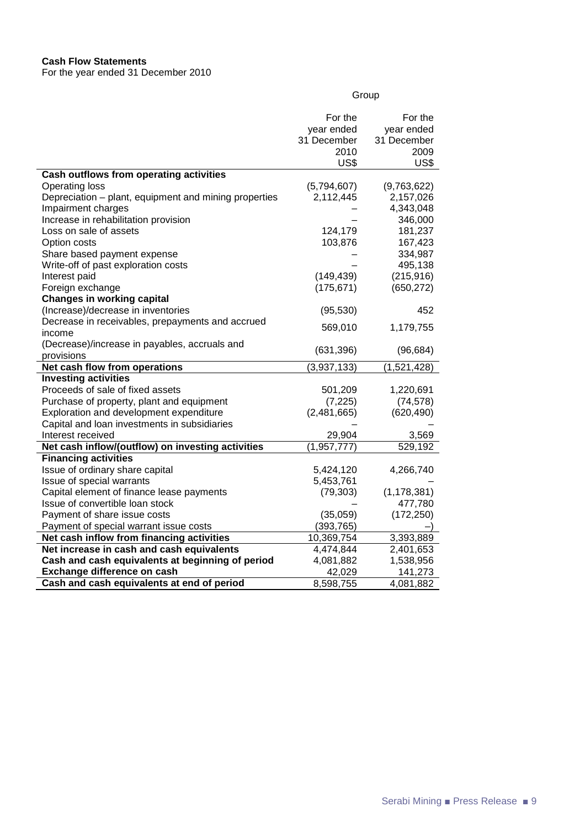## **Cash Flow Statements**

For the year ended 31 December 2010

|                                                       | For the              | For the       |
|-------------------------------------------------------|----------------------|---------------|
|                                                       | year ended           | year ended    |
|                                                       | 31 December          | 31 December   |
|                                                       | 2010                 | 2009          |
|                                                       | US\$                 | US\$          |
| <b>Cash outflows from operating activities</b>        |                      |               |
| <b>Operating loss</b>                                 | (5,794,607)          | (9,763,622)   |
| Depreciation - plant, equipment and mining properties | 2,112,445            | 2,157,026     |
| Impairment charges                                    |                      | 4,343,048     |
| Increase in rehabilitation provision                  |                      | 346,000       |
| Loss on sale of assets                                | 124,179              | 181,237       |
| Option costs                                          | 103,876              | 167,423       |
| Share based payment expense                           |                      | 334,987       |
| Write-off of past exploration costs                   |                      | 495,138       |
| Interest paid                                         | (149, 439)           | (215, 916)    |
| Foreign exchange                                      | (175, 671)           | (650, 272)    |
| <b>Changes in working capital</b>                     |                      |               |
| (Increase)/decrease in inventories                    | (95, 530)            | 452           |
| Decrease in receivables, prepayments and accrued      |                      |               |
| income                                                | 569,010              | 1,179,755     |
| (Decrease)/increase in payables, accruals and         | (631, 396)           |               |
| provisions                                            |                      | (96, 684)     |
| Net cash flow from operations                         | (3,937,133)          | (1,521,428)   |
| <b>Investing activities</b>                           |                      |               |
| Proceeds of sale of fixed assets                      | 501,209              | 1,220,691     |
| Purchase of property, plant and equipment             | (7, 225)             | (74, 578)     |
| Exploration and development expenditure               | (2,481,665)          | (620, 490)    |
| Capital and loan investments in subsidiaries          |                      |               |
| Interest received                                     | 29,904               | 3,569         |
| Net cash inflow/(outflow) on investing activities     | $\sqrt{1}, 957, 777$ | 529,192       |
| <b>Financing activities</b>                           |                      |               |
| Issue of ordinary share capital                       | 5,424,120            | 4,266,740     |
| Issue of special warrants                             | 5,453,761            |               |
| Capital element of finance lease payments             | (79, 303)            | (1, 178, 381) |
| Issue of convertible loan stock                       |                      | 477,780       |
| Payment of share issue costs                          | (35,059)             | (172, 250)    |
| Payment of special warrant issue costs                | (393, 765)           |               |
| Net cash inflow from financing activities             | 10,369,754           | 3,393,889     |
| Net increase in cash and cash equivalents             | 4,474,844            | 2,401,653     |
| Cash and cash equivalents at beginning of period      | 4,081,882            | 1,538,956     |
| Exchange difference on cash                           | 42,029               | 141,273       |
| Cash and cash equivalents at end of period            | 8,598,755            | 4,081,882     |

Group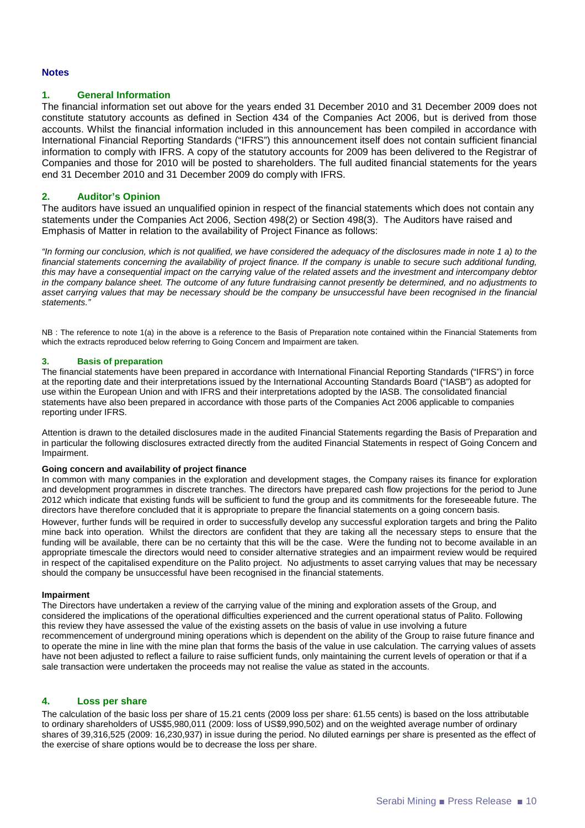#### **Notes**

#### **1. General Information**

The financial information set out above for the years ended 31 December 2010 and 31 December 2009 does not constitute statutory accounts as defined in Section 434 of the Companies Act 2006, but is derived from those accounts. Whilst the financial information included in this announcement has been compiled in accordance with International Financial Reporting Standards ("IFRS") this announcement itself does not contain sufficient financial information to comply with IFRS. A copy of the statutory accounts for 2009 has been delivered to the Registrar of Companies and those for 2010 will be posted to shareholders. The full audited financial statements for the years end 31 December 2010 and 31 December 2009 do comply with IFRS.

#### **2. Auditor's Opinion**

The auditors have issued an unqualified opinion in respect of the financial statements which does not contain any statements under the Companies Act 2006, Section 498(2) or Section 498(3). The Auditors have raised and Emphasis of Matter in relation to the availability of Project Finance as follows:

"In forming our conclusion, which is not qualified, we have considered the adequacy of the disclosures made in note 1 a) to the financial statements concerning the availability of project finance. If the company is unable to secure such additional funding, this may have a consequential impact on the carrying value of the related assets and the investment and intercompany debtor in the company balance sheet. The outcome of any future fundraising cannot presently be determined, and no adjustments to asset carrying values that may be necessary should be the company be unsuccessful have been recognised in the financial statements."

NB : The reference to note 1(a) in the above is a reference to the Basis of Preparation note contained within the Financial Statements from which the extracts reproduced below referring to Going Concern and Impairment are taken.

#### **3. Basis of preparation**

The financial statements have been prepared in accordance with International Financial Reporting Standards ("IFRS") in force at the reporting date and their interpretations issued by the International Accounting Standards Board ("IASB") as adopted for use within the European Union and with IFRS and their interpretations adopted by the IASB. The consolidated financial statements have also been prepared in accordance with those parts of the Companies Act 2006 applicable to companies reporting under IFRS.

Attention is drawn to the detailed disclosures made in the audited Financial Statements regarding the Basis of Preparation and in particular the following disclosures extracted directly from the audited Financial Statements in respect of Going Concern and Impairment.

#### **Going concern and availability of project finance**

In common with many companies in the exploration and development stages, the Company raises its finance for exploration and development programmes in discrete tranches. The directors have prepared cash flow projections for the period to June 2012 which indicate that existing funds will be sufficient to fund the group and its commitments for the foreseeable future. The directors have therefore concluded that it is appropriate to prepare the financial statements on a going concern basis.

However, further funds will be required in order to successfully develop any successful exploration targets and bring the Palito mine back into operation. Whilst the directors are confident that they are taking all the necessary steps to ensure that the funding will be available, there can be no certainty that this will be the case. Were the funding not to become available in an appropriate timescale the directors would need to consider alternative strategies and an impairment review would be required in respect of the capitalised expenditure on the Palito project. No adjustments to asset carrying values that may be necessary should the company be unsuccessful have been recognised in the financial statements.

#### **Impairment**

The Directors have undertaken a review of the carrying value of the mining and exploration assets of the Group, and considered the implications of the operational difficulties experienced and the current operational status of Palito. Following this review they have assessed the value of the existing assets on the basis of value in use involving a future recommencement of underground mining operations which is dependent on the ability of the Group to raise future finance and to operate the mine in line with the mine plan that forms the basis of the value in use calculation. The carrying values of assets have not been adjusted to reflect a failure to raise sufficient funds, only maintaining the current levels of operation or that if a sale transaction were undertaken the proceeds may not realise the value as stated in the accounts.

#### **4. Loss per share**

The calculation of the basic loss per share of 15.21 cents (2009 loss per share: 61.55 cents) is based on the loss attributable to ordinary shareholders of US\$5,980,011 (2009: loss of US\$9,990,502) and on the weighted average number of ordinary shares of 39,316,525 (2009: 16,230,937) in issue during the period. No diluted earnings per share is presented as the effect of the exercise of share options would be to decrease the loss per share.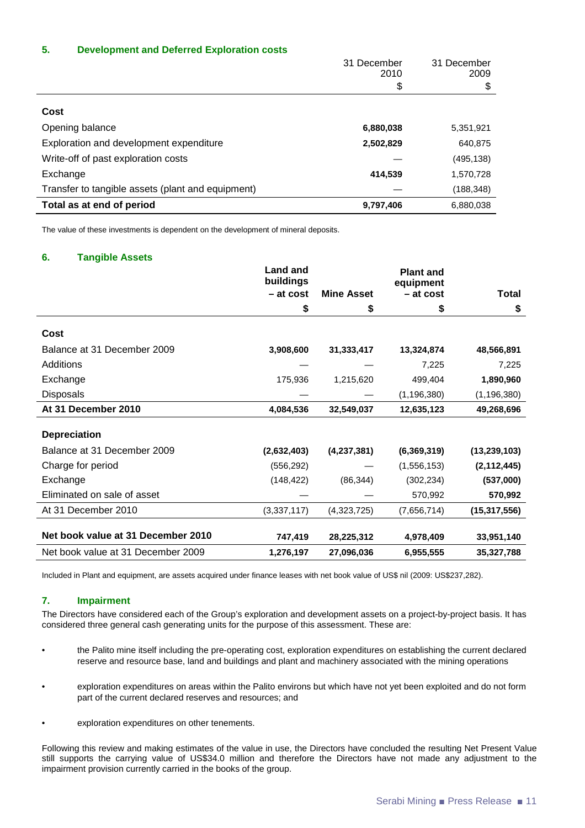#### **5. Development and Deferred Exploration costs**

|                                                   | 31 December<br>2010 | 31 December<br>2009 |
|---------------------------------------------------|---------------------|---------------------|
|                                                   | \$                  | \$                  |
| Cost                                              |                     |                     |
| Opening balance                                   | 6,880,038           | 5,351,921           |
| Exploration and development expenditure           | 2,502,829           | 640,875             |
| Write-off of past exploration costs               |                     | (495, 138)          |
| Exchange                                          | 414,539             | 1,570,728           |
| Transfer to tangible assets (plant and equipment) |                     | (188, 348)          |
| Total as at end of period                         | 9,797,406           | 6,880,038           |

The value of these investments is dependent on the development of mineral deposits.

#### **6. Tangible Assets**

|                                    | <b>Land and</b><br>buildings |                   | <b>Plant and</b><br>equipment |                |
|------------------------------------|------------------------------|-------------------|-------------------------------|----------------|
|                                    | - at cost                    | <b>Mine Asset</b> | - at cost                     | Total          |
|                                    | \$                           | \$                | \$                            | \$             |
| Cost                               |                              |                   |                               |                |
| Balance at 31 December 2009        | 3,908,600                    | 31,333,417        | 13,324,874                    | 48,566,891     |
| Additions                          |                              |                   | 7,225                         | 7,225          |
| Exchange                           | 175,936                      | 1,215,620         | 499,404                       | 1,890,960      |
| <b>Disposals</b>                   |                              |                   | (1, 196, 380)                 | (1, 196, 380)  |
| At 31 December 2010                | 4,084,536                    | 32,549,037        | 12,635,123                    | 49,268,696     |
| <b>Depreciation</b>                |                              |                   |                               |                |
| Balance at 31 December 2009        | (2,632,403)                  | (4,237,381)       | (6,369,319)                   | (13, 239, 103) |
| Charge for period                  | (556, 292)                   |                   | (1,556,153)                   | (2, 112, 445)  |
| Exchange                           | (148, 422)                   | (86, 344)         | (302, 234)                    | (537,000)      |
| Eliminated on sale of asset        |                              |                   | 570,992                       | 570,992        |
| At 31 December 2010                | (3,337,117)                  | (4,323,725)       | (7,656,714)                   | (15, 317, 556) |
| Net book value at 31 December 2010 | 747,419                      | 28,225,312        | 4,978,409                     | 33,951,140     |
| Net book value at 31 December 2009 | 1,276,197                    | 27,096,036        | 6,955,555                     | 35,327,788     |

Included in Plant and equipment, are assets acquired under finance leases with net book value of US\$ nil (2009: US\$237,282).

#### **7. Impairment**

The Directors have considered each of the Group's exploration and development assets on a project-by-project basis. It has considered three general cash generating units for the purpose of this assessment. These are:

- the Palito mine itself including the pre-operating cost, exploration expenditures on establishing the current declared reserve and resource base, land and buildings and plant and machinery associated with the mining operations
- exploration expenditures on areas within the Palito environs but which have not yet been exploited and do not form part of the current declared reserves and resources; and
- exploration expenditures on other tenements.

Following this review and making estimates of the value in use, the Directors have concluded the resulting Net Present Value still supports the carrying value of US\$34.0 million and therefore the Directors have not made any adjustment to the impairment provision currently carried in the books of the group.